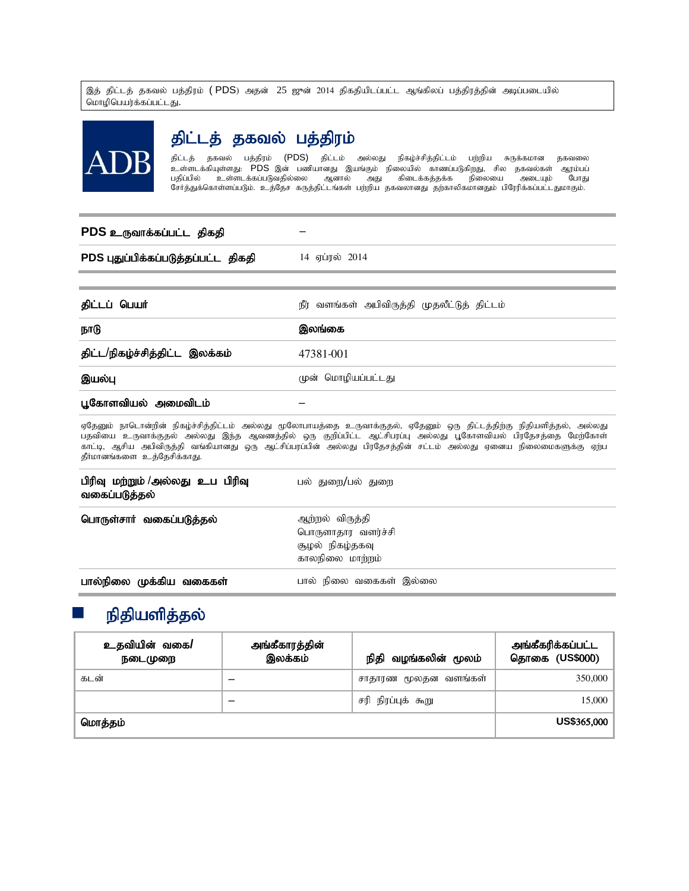இத் திட்டத் தகவல் பத்திரம் **( PDS**) அதன் 25 ஜுன் 2014 திகதியிடப்பட்ட ஆங்கிலப் பத்திரத்தின் அடிப்படையில் மொழிபெயர்க்கப்பட்டது.



# திட்டத் தகவல் பத்திரம்

திட்டத் தகவல் பத்திரம் (PDS) திட்டம் அல்லது நிகழ்ச்சித்திட்டம் பற்றிய சுருக்கமான தகவலை .<br>உள்ளடக்கியுள்ளது: PDS இன் பணியானது இயங்கும் நிலையில் காணப்படுகிறது, சில தகவல்கள் ஆரம்பப்<br>பதிப்பில் உள்ளடக்கப்படுவதில்லை ஆனால் அது கிடைக்கத்தக்க நிலையை அடையும் போது பதிப்பில் உள்ளடக்கப்படுவதில்லை ஆனால் அது கிடைக்கத்தக்க நிலையை சேர்த்துக்கொள்ளப்படும். உத்தேச கருத்திட்டங்கள் பற்றிய தகவலானது தற்காலிகமானதும் பிரேரிக்கப்பட்டதுமாகும்.

## **PDS** cUthf;fg;gl;l jpfjp –

PDS புதுப்பிக்கப்படுத்தப்பட்ட திகதி 14 ஏப்ரல் 2014

| திட்டப் பெயர்                  | நீர் வளங்கள் அபிவிருத்தி முதலீட்டுத் திட்டம் |
|--------------------------------|----------------------------------------------|
| நாடு                           | இலங்கை                                       |
| திட்ட/நிகழ்ச்சித்திட்ட இலக்கம் | 47381-001                                    |
| இயல்பு                         | முன் மொழியப்பட்டது                           |
| பூகோளவியல் அமைவிடம்            |                                              |

ஏதேனும் நாடொன்றின் நிகழ்ச்சித்திட்டம் அல்லது மூலோபாயத்தை உருவாக்குதல், ஏதேனும் ஒரு திட்டத்திற்கு நிதியளித்தல், அல்லது பதவியை உருவாக்குதல் அல்லது இந்த ஆவணத்தில் ஒரு குறிப்பிட்ட ஆட்சிபரப்பு அல்லது பூகோளவியல் பிரதேசத்தை மேற்கோள் காட்டி, ஆசிய அபிவிருத்தி வங்கியானது ஒரு ஆட்சிப்பரப்பின் அல்லது பிரதேசத்தின் சட்டம் அல்லது ஏனைய நிலைமைகளுக்கு ஏற்ப தீர்மானங்களை உத்தேசிக்காது.

| பிரிவு மற்றும் /அல்லது உப பிரிவு<br>வகைப்படுத்தல் | பல் துறை/பல் துறை                                                           |  |  |
|---------------------------------------------------|-----------------------------------------------------------------------------|--|--|
| பொருள்சார் வகைப்படுத்தல்                          | ஆற்றல் விருத்தி<br>பொருளாதார வளர்ச்சி<br>சூழல் நிகழ்தகவு<br>காலநிலை மாற்றம் |  |  |
| பால்நிலை முக்கிய வகைகள்                           | பால் நிலை வகைகள் இல்லை                                                      |  |  |

# நிதியளித்தல்

| உதவியின் வகை/<br>நடைமுறை | அங்கீகாரத்தின்<br>இலக்கம் | நிதி வழங்கலின் மூலம் | அங்கீகரிக்கப்பட்ட<br>தொகை (US\$000) |
|--------------------------|---------------------------|----------------------|-------------------------------------|
| கடன்                     | -                         | சாதாரண மூலதன வளங்கள் | 350,000                             |
|                          | -                         | சரி நிரப்புக் கூறு   | 15,000                              |
| மொத்தம்                  |                           |                      | US\$365,000                         |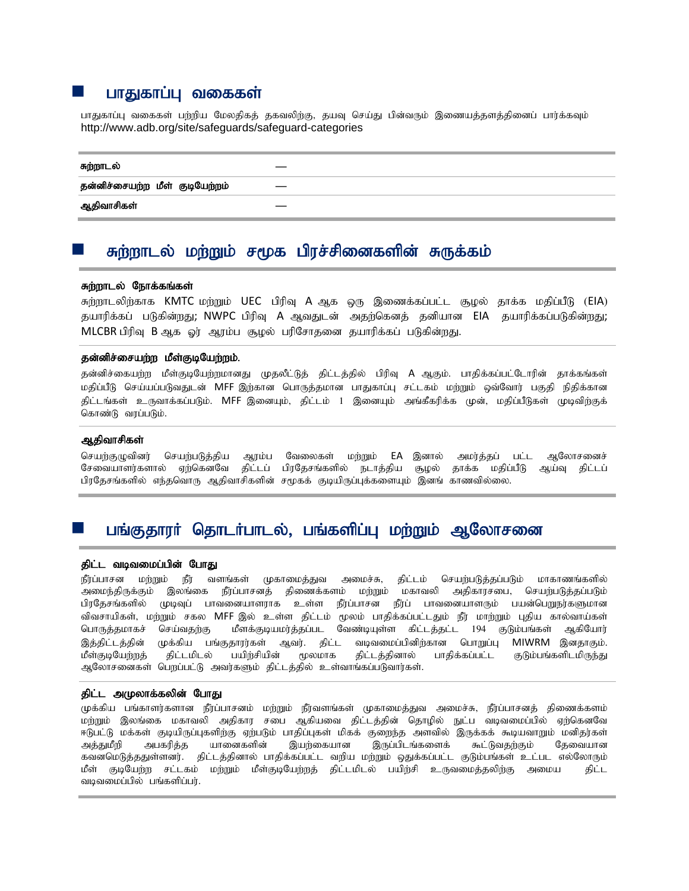## **ப** பாதுகாப்பு வகைகள்

பாதுகாப்பு வகைகள் பற்றிய மேலதிகத் தகவலிற்கு, தயவு செய்து பின்வரும் இணையத்தளத்தினைப் பார்க்கவும் <http://www.adb.org/site/safeguards/safeguard-categories>

#### சுற்றாடல்

தன்னிச்சையற்ற மீள் குடியேற்றம்

ஆதிவாசிகள்

## சுற்றாடல் மற்றும் சமூக பிரச்சினைகளின் சுருக்கம்

#### சுற்றாடல் நோக்கங்கள்

சுற்றாடலிற்காக KMTC மற்றும் UEC பிரிவு A ஆக ஒரு இணைக்கப்பட்ட சூழல் தாக்க மதிப்பீடு (EIA) தயாரிக்கப் படுகின்றது; NWPC பிரிவு A ஆவதுடன் அதற்கெனத் தனியான EIA தயாரிக்கப்படுகின்றது; MLCBR பிரிவு B ஆக ஓர் ஆரம்ப சூழல் பரிசோதனை தயாரிக்கப் படுகின்றது.

#### தன்னிச்சையற்ற மீள்குடியேற்றம்.

தன்னிச்கையற்ற மீள்குடியேற்றமானது முதலீட்டுத் திட்டத்தில் பிரிவு A ஆகும். பாதிக்கப்பட்டோரின் தாக்கங்கள் மதிப்பீடு செய்யப்படுவதுடன் MFF இற்கான பொருத்தமான பாதுகாப்பு சட்டகம் மற்றும் ஒவ்வோர் பகுதி நிதிக்கான கிட்டங்கள் உருவாக்கப்படும். MFF இனையும், கிட்டம் 1 இனையும் அங்கீகரிக்க முன், மகிப்பீடுகள் முடிவிற்குக் கொண்டு வரப்படும்.

## ஆதிவாசிகள்

செயற்குழுவினர் செயற்படுத்திய ஆரம்ப வேலைகள் மற்றும் EA இனால் அமர்த்தப் பட்ட ஆலோசனைச் சேவையாளர்களால் ஏற்கெனவே திட்டப் பிரதேசங்களில் நடாத்திய சூழல் தாக்க மதிப்பீடு ஆய்வு திட்டப் பிரதேசங்களில் எந்தவொரு ஆதிவாசிகளின் சமூகக் குடியிருப்புக்களையும் இனங் காணவில்லை.

## பங்குதாரர் தொடர்பாடல், பங்களிப்பு மற்றும் ஆலோசனை

## திட்ட வடிவமைப்பின் போது

நீர்ப்பாசன மற்றும் நீர் வளங்கள் முகாமைத்துவ அமைச்சு, திட்டம் செயற்படுத்தப்படும் மாகாணங்களில் அமைந்திருக்கும் இலங்கை நீர்ப்பாசனத் திணைக்களம் மற்றும் மகாவலி அதிகாரசபை, செயற்படுத்தப்படும் பிரதேசங்களில் முடிவுப் பாவனையாளராக உள்ள நீர்ப்பாசன நீர்ப் பாவனையாளரும் பயன்பெறுநர்களுமான விவசாயிகள், மற்றும் சகல MFF இல் உள்ள திட்டம் மூலம் பாதிக்கப்பட்டதும் நீர் மாற்றும் புதிய கால்வாய்கள் பொருத்தமாகச் செய்வதற்கு மீளக்குடியமர்த்தப்பட வேண்டியுள்ள கிட்டத்தட்ட 194 குடும்பங்கள் ஆகியோர் இத்திட்டத்தின் முக்கிய பங்குதாரர்கள் ஆவர். திட்ட வடிவமைப்பினிற்கான பொறுப்பு MIWRM இனதாகும். மீள்குடியேற்றத் திட்டமிடல் பயிற்சியின் மூலமாக திட்டத்தினால் பாதிக்கப்பட்ட குடும்பங்களிடமிருந்து ஆலோசனைகள் பெறப்பட்டு அவர்களும் திட்டத்தில் உள்வாங்கப்படுவார்கள்.

## திட்ட அமுலாக்கலின் போது

முக்கிய பங்காளர்களான நீர்ப்பாசனம் மற்றும் நீர்வளங்கள் முகாமைத்துவ அமைச்சு, நீர்ப்பாசனத் திணைக்களம் மற்றும் இலங்கை மகாவலி அதிகார சபை ஆகியவை திட்டத்தின் தொழில் நுட்ப வடிவமைப்பில் ஏற்கெனவே ஈடுபட்டு மக்கள் குடியிருப்புகளிற்கு ஏற்படும் பாதிப்புகள் மிகக் குறைந்த அளவில் இருக்கக் கூடியவாறும் மனிதர்கள் அத்துமீறி அபகரித்த யானைகளின் இயற்கையான இருப்பிடங்களைக் கூட்டுவதற்கும் தேவையான கவனமெடுத்ததுள்ளனர். திட்டத்தினால் பாதிக்கப்பட்ட வறிய மற்றும் ஒதுக்கப்பட்ட குடும்பங்கள் உட்பட எல்லோரும் மீள் குடியேற்ற சட்டகம் மற்றும் மீள்குடியேற்றத் திட்டமிடல் பயிற்சி உருவமைத்தலிற்கு அமைய - திட்ட வடிவமைப்பில் பங்களிப்பர்.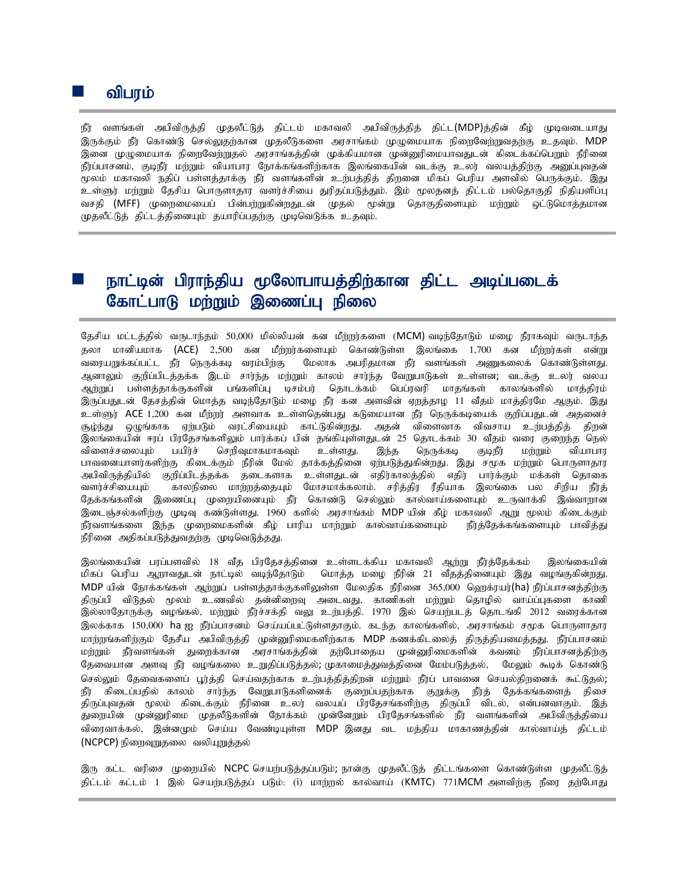நீர் வளங்கள் அபிவிருத்தி முதலீட்டுத் திட்டம் மகாவலி அபிவிருத்தித் திட்ட(MDP)த்தின் கீழ் முடிவடையாது இருக்கும் நீர் கொண்டு செல்லுதற்கான முதலீடுகளை அரசாங்கம் முழுமையாக நிறைவேற்றுவதற்கு உதவும். MDP இனை முழுமையாக நிறைவேற்றுதல் அரசாங்கத்தின் முக்கியமான முன்னுரிமையாவதுடன் கிடைக்கப்பெறும் நீரினை நீர்ப்பாசனம், குடிநீர் மற்றும் வியாபார நோக்கங்களிற்காக இலங்கையின் வடக்கு உலர் வலயத்திற்கு அனுப்புவதன் மூலம் மகாவலி நதிப் பள்ளத்தாக்கு நீர் வளங்களின் உற்பத்தித் திறனை மிகப் பெரிய அளவில் பெருக்கும். இது உள்ளுர் மற்றும் தேசிய பொருளாதார வளர்ச்சியை துரிதப்படுத்தும். இம் மூலதனத் திட்டம் பல்தொகுதி நிதியளிப்பு வசதி (MFF) முறைமையைப் பின்பற்றுகின்றதுடன் முதல் மூன்று தொகுதிளையும் மற்றும் ஒட்டுமொத்தமான (ழதலீட்டுத் திட்டத்தினையும் தயாரிப்பதற்கு முடிவெடுக்க உதவும்.

# நாட்டின் பிராந்திய மூலோபாயத்திற்கான திட்ட அடிப்படைக் கோட்பாடு மற்றும் இணைப்பு நிலை

தேசிய மட்டத்தில் வருடாந்தம் 50,000 மில்லியன் கன மீற்றர்களை (MCM) வடிந்தோடும் மமை நீராகவும் வருடாந்த தலா மானியமாக (ACE) 2,500 கன மீற்றர்களையும் கொண்டுள்ள இலங்கை 1,700 கன மீற்றர்கள் என்று வரையறுக்கப்பட்ட நீர் நெருக்கடி வரம்பிற்கு மேலாக அபரிதமான நீர் வளங்கள் அணுகலைக் கொண்டுள்ளது. ஆனாலும் குறிப்பிடத்தக்க இடம் சார்ந்த மற்றும் காலம் சார்ந்த வேறுபாடுகள் உள்ளன; வடக்கு உலர் வலய ஆற்றுப் பள்ளத்தாக்குகளின் பங்களிப்பு டிசம்பர் தொடக்கம் பெப்ரவரி மாதங்கள் காலங்களில் மாத்திரம் இருப்பதுடன் தேசத்தின் மொத்த வடிந்தோடும் மழை நீர் கன அளவின் ஏறத்தாழ 11 வீதம் மாத்திரமே ஆகும். இது உள்ளுர் ACE 1,200 கன மீற்றர் அளவாக உள்ளதென்பது கடுமையான நீர் நெருக்கடியைக் குறிப்பதுடன் அதனைச் சூழ்ந்து ஒழுங்காக ஏற்படும் வரட்சியையும் காட்டுகின்றது. அதன் விளைவாக விவசாய உற்பத்தித் திறன் இலங்கையின் ஈரப் பிரதேசங்களிலும் பார்க்கப் பின் தங்கியுள்ளதுடன் 25 தொடக்கம் 30 வீதம் வரை குறைந்த நெல் விளைச்சலையும் பயிர்ச் செறிவுமாகமாகவும் உள்ளது. இந்த நெருக்கடி குடிநீர மற்றும் வியாபார பாவனையாளர்களிற்கு கிடைக்கும் நீரின் மேல் தாக்கத்தினை ஏற்படுத்துகின்றது. இது சமூக மற்றும் பொருளாதார அபிவிருத்தியில் குறிப்பிடத்தக்க தடைகளாக உள்ளதுடன் எதிர்காலத்தில் எதிர் பார்க்கும் மக்கள் தொகை வளர்ச்சியையும் காலநிலை மாற்றத்தையும் மோசமாக்கலாம். சரித்திர ரீதியாக இலங்கை பல சிறிய நீர்த் தேக்கங்களின் இணைப்பு முறையினையும் நீர் கொண்டு செல்லும் கால்வாய்களையும் உருவாக்கி இவ்வாறான இடைஞ்சல்களிற்கு முடிவு கண்டுள்ளது. 1960 களில் அரசாங்கம் MDP யின் கீழ் மகாவலி ஆறு மூலம் கிடைக்கும் நீர்வளங்களை இந்த முறைமைகளின் கீழ் பாரிய மாற்றும் கால்வாய்களையும் நீர்த்தேக்கங்களையும் பாவித்து நீரினை அதிகப்படுத்துவதற்கு முடிவெடுத்தது.

இலங்கையின் பரப்பளவில் 18 வீத பிரதேசத்தினை உள்ளடக்கிய மகாவலி ஆற்று நீர்த்தேக்கம் இலங்கையின் மிகப் பெரிய ஆறாவதுடன் நாட்டில் வடிந்தோடும் மொத்த மழை நீரின் 21 வீதத்தினையும் இது வழங்குகின்றது. MDP யின் நோக்கங்கள் ஆற்றுப் பள்ளத்தாக்குகளிலுள்ள மேலதிக நீரினை 365,000 ஹெக்ரயர்(ha) நீர்ப்பாசனத்திற்கு திருப்பி விடுதல் மூலம் உணவில் தன்னிறைவு அடைவது, காணிகள் மற்றும் தொழில் வாய்ப்புகளை காணி இல்லாதோருக்கு வழங்கல், மற்றும் நீர்ச்சக்தி வலு உற்பத்தி. 1970 இல் செயற்படத் தொடங்கி 2012 வரைக்கான இலக்காக 150,000 ha ஐ நீர்ப்பாசனம் செய்யப்பட்டுள்ளதாகும். கடந்த காலங்களில், அரசாங்கம் சமூக பொருளாதார மாற்றங்களிற்கும் தேசீய அபிவிருத்தி முன்னுரிமைகளிற்காக MDP கணக்கிடலைத் திருத்தியமைத்தது. நீர்ப்பாசனம் மற்றும் நீர்வளங்கள் துறைக்கான அரசாங்கத்தின் தற்போதைய முன்னுரிமைகளின் கவனம் நீர்ப்பாசனத்திற்கு தேவையான அளவு நீர் வழங்கலை உறுதிப்படுத்தல்; முகாமைத்துவத்தினை மேம்படுத்தல், மேலும் கூடிக் கொண்டு செல்லும் தேவைகளைப் பூர்த்தி செய்வதற்காக உற்பத்தித்திறன் மற்றும் நீர்ப் பாவனை செயல்திறனைக் கூட்டுதல்; நீர் கிடைப்பதில் காலம் சார்ந்த வேறுபாடுகளினைக் குறைப்பதற்காக குறுக்கு நீர்த் தேக்கங்களைத் திசை திருப்புவதன் மூலம் கிடைக்கும் நீரினை உலர் வலயப் பிரதேசங்களிற்கு திருப்பி விடல், என்பனவாகும். இத் துறையின் முன்னுரிமை முதலீடுகளின் நோக்கம் முன்னேறும் பிரதேசங்களில் நீர் வளங்களின் அபிவிருத்தியை விரைவாக்கல், இன்னமும் செய்ய வேண்டியுள்ள MDP இனது வட மத்திய மாகாணத்தின் கால்வாய்த் திட்டம் (NCPCP) நிறைவுறுதலை வலியுறுத்தல்

இரு கட்ட வரிசை முறையில் NCPC செயற்படுத்தப்படும்; நான்கு முதலீட்டுத் திட்டங்களை கொண்டுள்ள முதலீட்டுத் திட்டம் கட்டம் 1 இல் செயற்படுத்தப் படும்: (i) மாற்றல் கால்வாய் (KMTC) 771MCM அளவிற்கு நீரை தற்போது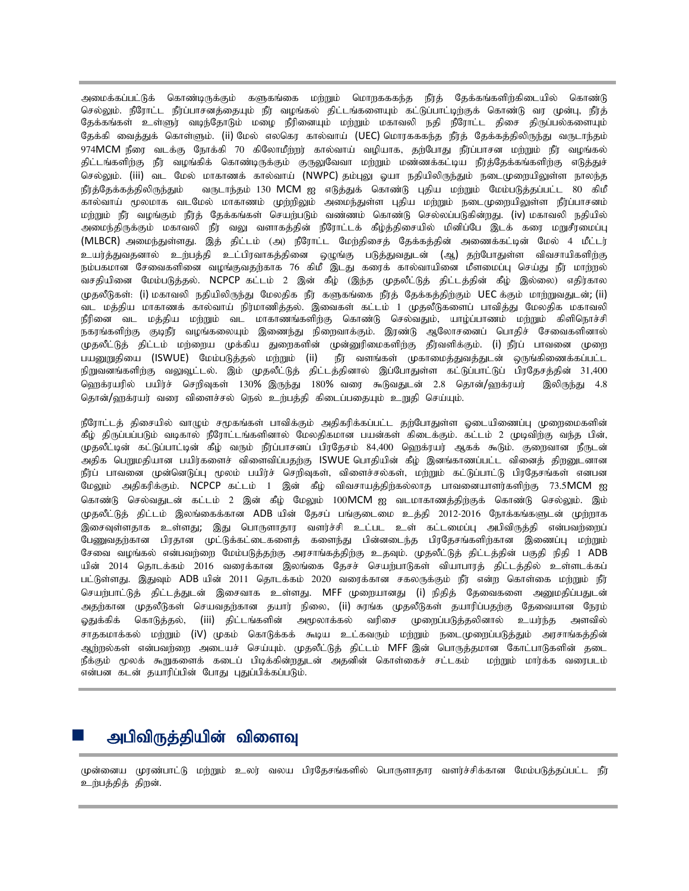அமைக்கப்பட்டுக் கொண்டிருக்கும் களுகங்கை மற்றும் மொறுகககந்த நீர்த் தேக்கங்களிற்கிடையில் கொண்டு செல்லும். நீரோட்ட நீர்ப்பாசனத்தையும் நீர் வழங்கல் திட்டங்களையும் கட்டுப்பாட்டிற்குக் கொண்டு வர முன்பு, நீர்த் தேக்கங்கள் உள்ளுர் வடிந்தோடும் மழை நீரினையும் மற்றும் மகாவலி நதி நீரோட்ட திசை திருப்பல்களையும் தேக்கி வைத்துக் கொள்ளும். (ii) மேல் எலகெர கால்வாய் (UEC) மொரகககந்த நீர்த் தேக்கத்திலிருந்து வருடாந்தம் 974MCM நீரை வடக்கு நோக்கி 70 கிலோமீற்றர் கால்வாய் வழியாக, தற்போது நீர்ப்பாசன மற்றும் நீர் வழங்கல் திட்டங்களிற்கு நீர் வழங்கிக் கொண்டிருக்கும் குருலுவேவா மற்றும் மண்ணக்கட்டிய நீர்த்தேக்கங்களிற்கு எடுத்துச் செல்லும். (iii) வட மேல் மாகாணக் கால்வாய் (NWPC) தம்புலு ஓயா நதியிலிருந்தும் நடைமுறையிலுள்ள நாலந்த நீர்த்தேக்கத்திலிருந்தும் வருடாந்தம் 130 MCM ஐ எடுத்துக் கொண்டு புதிய மற்றும் மேம்படுத்தப்பட்ட 80 கிமீ கால்வாய் மூலமாக வடமேல் மாகாணம் முற்றிலும் அமைந்துள்ள புதிய மற்றும் நடைமுறையிலுள்ள நீர்ப்பாசனம் மற்றும் நீர் வழங்கும் நீர்த் தேக்கங்கள் செயற்படும் வண்ணம் கொண்டு செல்லப்படுகின்றது. (iv) மகாவலி நதியில் அமைந்திருக்கும் மகாவலி நீர் வலு வளாகத்தின் நீரோட்டக் கீழ்த்திசையில் மினிப்பே இடக் கரை மறுசீரமைப்பு (MLBCR) அமைந்துள்ளது. இத் திட்டம் (அ) நீரோட்ட மேற்திசைத் தேக்கத்தின் அணைக்கட்டின் மேல் 4 மீட்டர் உயர்த்துவதனால் உற்பத்தி உட்பிரவாகத்தினை ஒழுங்கு படுத்துவதுடன் (ஆ) தற்போதுள்ள விவசாயிகளிற்கு நம்பகமான சேவைகளினை வழங்குவதற்காக 76 கிமீ இடது கரைக் கால்வாயினை மீளமைப்பு செய்து நீர் மாற்றல் வசதியினை மேம்படுத்தல். NCPCP கட்டம் 2 இன் கீழ் (இந்த முதலீட்டுத் திட்டத்தின் கீழ் இல்லை) எதிர்கால முதலீடுகள்: (i) மகாவலி நதியிலிருந்து மேலதிக நீர் களுகங்கை நீர்த் தேக்கத்திற்கும் UEC க்கும் மாற்றுவதுடன்; (ii) வட மத்திய மாகாணக் கால்வாய் நிர்மாணித்தல். இவைகள் கட்டம் 1 முதலீடுகளைப் பாவித்து மேலதிக மகாவலி நீரினை வட மத்திய மற்றும் வட மாகாணங்களிற்கு கொண்டு செல்வதும், யாழ்ப்பாணம் மற்றும் கிளிநொச்சி நகரங்களிற்கு குடிநீர வழங்கலையும் இணைந்து நிறைவாக்கும். இரண்டு ஆலோசனைப் பொதிச் சேவைகளினால் முதலீட்டுத் திட்டம் மற்றைய முக்கிய துறைகளின் முன்னுரிமைகளிற்கு தீர்வளிக்கும். (i) நீர்ப் பாவனை முறை பயனுறுதியை (ISWUE) மேம்படுத்தல் மற்றும் (ii) நீர் வளங்கள் முகாமைத்துவத்துடன் ஒருங்கிணைக்கப்பட்ட நிறுவனங்களிற்கு வலுவூட்டல். இம் முதலீட்டுத் திட்டத்தினால் இப்போதுள்ள கட்டுப்பாட்டுப் பிரதேசத்தின் 31,400 ஹெக்ரயரில் பயிர்ச் செறிவுகள் 130% இருந்து 180% வரை கூடுவதுடன் 2.8 தொன்/ஹக்ரயர் இலிருந்து 4.8 தொன்/ஹக்ரயர் வரை விளைச்சல் நெல் உற்பத்தி கிடைப்பதையும் உறுதி செய்யும்.

நீரோட்டத் திசையில் வாழும் சமூகங்கள் பாவிக்கும் அதிகரிக்கப்பட்ட தற்போதுள்ள ஓடையிணைப்பு முறைமைகளின் கீழ் திருப்பப்படும் வடிகால் நீரோட்டங்களினால் மேலதிகமான பயன்கள் கிடைக்கும். கட்டம் 2 முடிவிற்கு வந்த பின், முதலீட்டின் கட்டுப்பாட்டின் கீழ் வரும் நீர்ப்பாசனப் பிரதேசம் 84,400 ஹெக்ரயர் ஆகக் கூடும். குறைவான நீருடன் அகிக பெறுமதியான பயிர்களைச் விளைவிப்பதற்கு ISWUE பொதியின் கீம் இனங்காணப்பட்ட வினைத் திறனுடனான நீர்ப் பாவனை முன்னெடுப்பு மூலம் பயிர்ச் செறிவுகள், விளைச்சல்கள், மற்றும் கட்டுப்பாட்டு பிரதேசங்கள் எனபன மேலும் அதிகரிக்கும். NCPCP கட்டம் 1 இன் கீழ் விவசாயத்திற்கல்லாத பாவனையாளர்களிற்கு 73.5MCM ஐ கொண்டு செல்வதுடன் கட்டம் 2 இன் கீழ் மேலும் 100MCM ஐ வடமாகாணத்திற்குக் கொண்டு செல்லும். இம் முதலீட்டுத் திட்டம் இலங்கைக்கான ADB யின் தேசப் பங்குடைமை உத்தி 2012-2016 நோக்கங்களுடன் முற்றாக இசைவுள்ளதாக உள்ளது; இது பொருளாதார வளர்ச்சி உட்பட உள் கட்டமைப்பு அபிவிருத்தி என்பவற்றைப் பேணுவதற்கான பிரதான முட்டுக்கட்டைகளைத் களைந்து பின்னடைந்த பிரதேசங்களிற்கான இணைப்பு மற்றும் சேவை வழங்கல் என்பவற்றை மேம்படுத்தற்கு அரசாங்கத்திற்கு உதவும். முதலீட்டுத் திட்டத்தின் பகுதி நிதி 1 ADB யின் 2014 தொடக்கம் 2016 வரைக்கான இலங்கை தேசச் செயற்பாடுகள் வியாபாரத் திட்டத்தில் உள்ளடக்கப் பட்டுள்ளது. இதுவும் ADB யின் 2011 தொடக்கம் 2020 வரைக்கான சகலருக்கும் நீர் என்ற கொள்கை மற்றும் நீர் செயற்பாட்டுத் திட்டத்துடன் இசைவாக உள்ளது. MFF முறையானது (i) நிதித் தேவைகளை அனுமதிப்பதுடன் அதற்கான முதலீடுகள் செயவதற்கான தயார் நிலை, (ii) சுரங்க முதலீடுகள் தயாரிப்பதற்கு தேவையான நேரம் ஓதுக்கிக் கொடுத்தல், (iii) திட்டங்களின் அமூலாக்கல் வரிசை முறைப்படுத்தலினால் உயர்ந்த அளவில் சாதகமாக்கல் மற்றும் (iV) முகம் கொடுக்கக் கூடிய உட்கவரும் மற்றும் நடைமுறைப்படுத்தும் அரசாங்கத்தின் அற்றல்கள் என்பவற்றை அடையச் செய்யும். முதலீட்டுத் திட்டம் MFF இன் பொருத்தமான கோட்பாடுகளின் தடை நீக்கும் மூலக் கூறுகளைக் கடைப் பிடிக்கின்றதுடன் அதனின் கொள்கைச் சட்டகம் மற்றும் மார்க்க வரைபடம் என்பன கடன் தயாரிப்பின் போது புதுப்பிக்கப்படும்.

# அபிவிருத்தியின் விளைவு

முன்னைய முரண்பாட்டு மற்றும் உலர் வலய பிரதேசங்களில் பொருளாகார வளர்ச்சிக்கான மேம்படுக்கப்பட்ட நீர் உற்பத்தித் திறன்.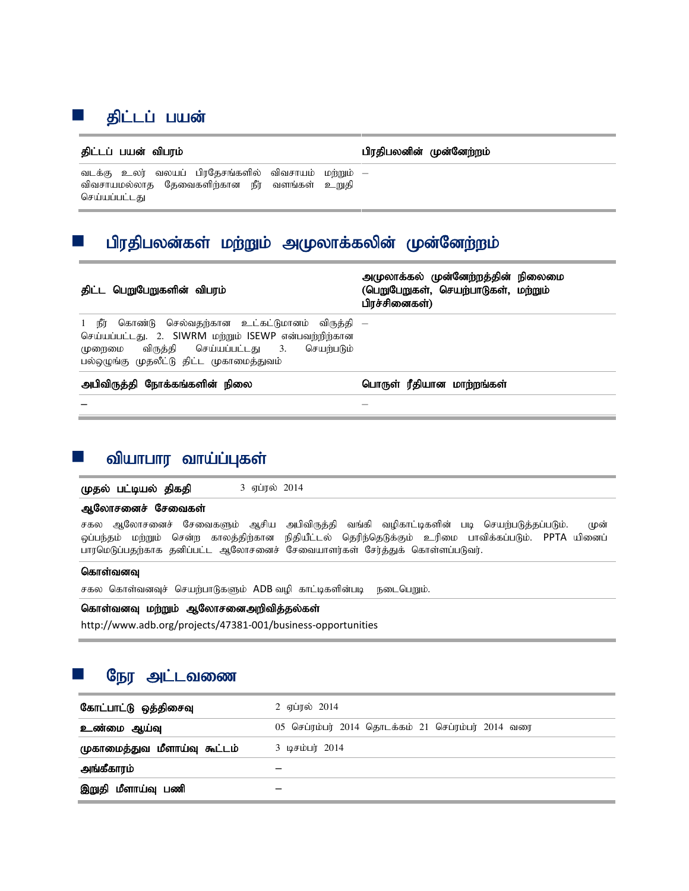# ■ திட்டப் பயன<mark>்</mark>

jpl;lg; gad; tpguk; gpujpgydpd; Kd;Ndw;wk;

வடக்கு உலர் வலயப் பிரதேசங்களில் விவசாயம் விவசாயமல்லாத தேவைகளிற்கான நீர் வளங்கள் உறுதி செய்யப்பட்டது –

# பிரதிபலன்கள் மற்றும் அமுலாக்கலின் முன்னேற்றம்

| திட்ட பெறுபேறுகளின் விபரம்                                                                                                                                                                            | அமுலாக்கல் முன்னேற்றத்தின் நிலைமை<br>(பெறுபேறுகள், செயற்பாடுகள், மற்றும்<br>பிரச்சினைகள்) |
|-------------------------------------------------------------------------------------------------------------------------------------------------------------------------------------------------------|-------------------------------------------------------------------------------------------|
| 1 நீர் கொண்டு செல்வதற்கான உட்கட்டுமானம் விருத்தி —<br>செய்யப்பட்டது. 2. SIWRM மற்றும் ISEWP என்பவற்றிற்கான<br>முறைமை விருத்தி செய்யப்பட்டது 3. செயற்படும்<br>பல்ஒழுங்கு முதலீட்டு திட்ட முகாமைத்துவம் |                                                                                           |
| அபிவிருத்தி நோக்கங்களின் நிலை                                                                                                                                                                         | பொருள் ரீதியான மாற்றங்கள்                                                                 |
|                                                                                                                                                                                                       |                                                                                           |

# வியாபார வாய்ப்புகள்

 $\mu$ தல் பட்டியல் திகதி 3 ஏப்ரல் 2014

## ஆலோசனைச் சேவைகள்

சகல ஆலோசனைச் சேவைகளும் ஆசிய அபிவிருத்தி வங்கி வழிகாட்டிகளின் படி செயற்படுத்தப்படும். முன் ஒப்பந்தம் மற்றும் சென்ற காலத்திற்கான நிதியீட்டல் தெரிந்தெடுக்கும் உரிமை பாவிக்கப்படும். PPTA யினைப் பாரமெடுப்பதற்காக தனிப்பட்ட ஆலோசனைச் சேவையாளர்கள் சேர்த்துக் கொள்ளப்படுவர்.

## கொள்வனவு

சகல கொள்வனவுச் செயற்பாடுகளும் ADB வழி காட்டிகளின்படி நடைபெறும்.

## கொள்வனவு மற்றும் ஆலோசனைஅறிவித்தல்கள்

http://www.adb.org/projects/47381-001/business-opportunities

# நேர அட்டவணை

| கோட்பாட்டு ஒத்திசைவு         | 2 ஏப்ரல் 2014                                      |
|------------------------------|----------------------------------------------------|
| உண்மை ஆய்வு                  | 05 செப்ரம்பர் 2014 தொடக்கம் 21 செப்ரம்பர் 2014 வரை |
| முகாமைத்துவ மீளாய்வு கூட்டம் | 3 டிசம்பர் 2014                                    |
| அங்கீகாரம்                   |                                                    |
| இறுதி மீளாய்வு பணி           |                                                    |